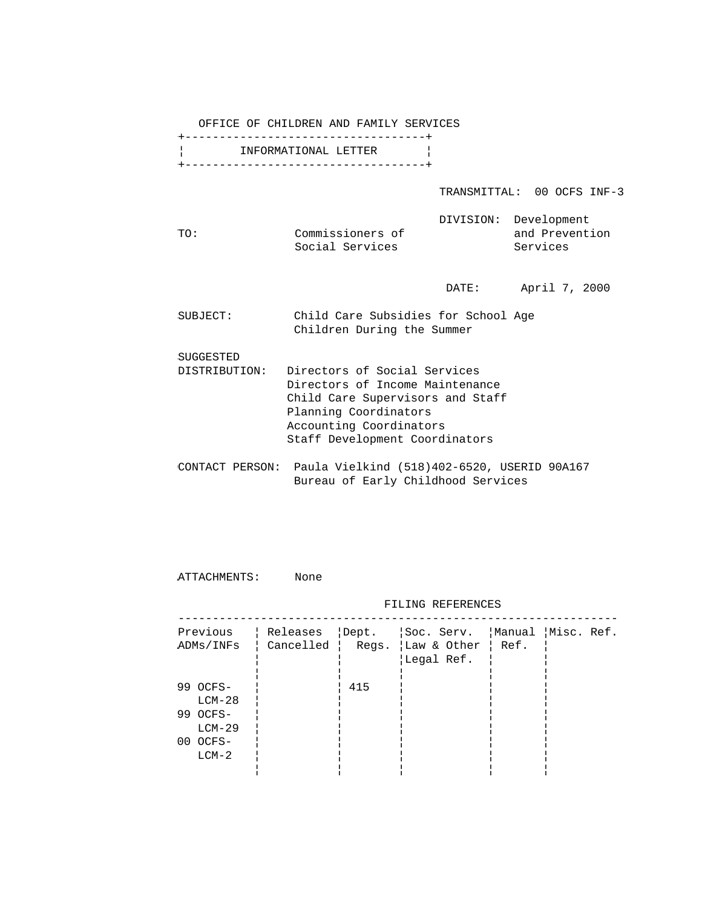OFFICE OF CHILDREN AND FAMILY SERVICES

|                      | +------------------------------------- |
|----------------------|----------------------------------------|
| INFORMATIONAL LETTER |                                        |
|                      | +------------------------------------- |

TRANSMITTAL: 00 OCFS INF-3

|     |                  | DIVISION: Development |
|-----|------------------|-----------------------|
| TO: | Commissioners of | and Prevention        |
|     | Social Services  | Services              |

DATE: April 7, 2000

| SUBJECT: | Child Care Subsidies for School Age |  |  |  |
|----------|-------------------------------------|--|--|--|
|          | Children During the Summer          |  |  |  |

SUGGESTED

- DISTRIBUTION: Directors of Social Services Directors of Income Maintenance Child Care Supervisors and Staff Planning Coordinators Accounting Coordinators Staff Development Coordinators
- CONTACT PERSON: Paula Vielkind (518)402-6520, USERID 90A167 Bureau of Early Childhood Services

ATTACHMENTS: None

FILING REFERENCES

| Previous<br>ADMs/INFs                        |     | Releases   Dept.   Soc. Serv.   Manual   Misc. Ref.<br>Cancelled   Regs. $\vert$ Law & Other $\vert$ Ref.<br>Legal Ref. |  |
|----------------------------------------------|-----|-------------------------------------------------------------------------------------------------------------------------|--|
| 99 OCFS-<br>$LCM-28$<br>99 OCFS-<br>$LCM-29$ | 415 |                                                                                                                         |  |
| $00$ $0CFS-$<br>$LCM-2$                      |     |                                                                                                                         |  |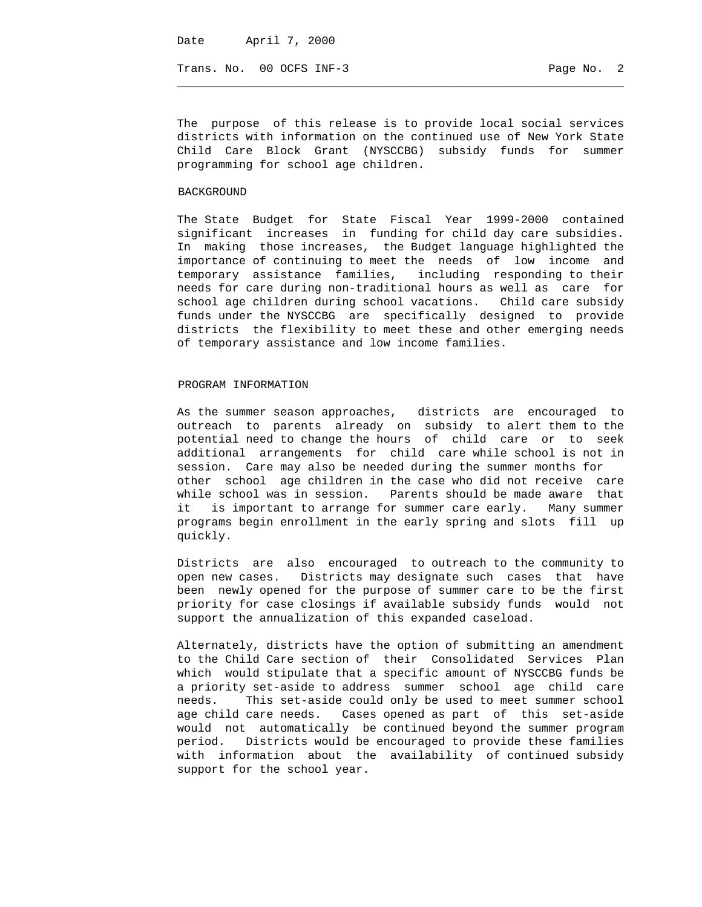Trans. No. 00 OCFS INF-3 Page No. 2

The purpose of this release is to provide local social services districts with information on the continued use of New York State Child Care Block Grant (NYSCCBG) subsidy funds for summer programming for school age children.

 $\_$  ,  $\_$  ,  $\_$  ,  $\_$  ,  $\_$  ,  $\_$  ,  $\_$  ,  $\_$  ,  $\_$  ,  $\_$  ,  $\_$  ,  $\_$  ,  $\_$  ,  $\_$  ,  $\_$  ,  $\_$  ,  $\_$  ,  $\_$  ,  $\_$  ,  $\_$  ,  $\_$  ,  $\_$  ,  $\_$  ,  $\_$  ,  $\_$  ,  $\_$  ,  $\_$  ,  $\_$  ,  $\_$  ,  $\_$  ,  $\_$  ,  $\_$  ,  $\_$  ,  $\_$  ,  $\_$  ,  $\_$  ,  $\_$  ,

## BACKGROUND

The State Budget for State Fiscal Year 1999-2000 contained significant increases in funding for child day care subsidies. In making those increases, the Budget language highlighted the importance of continuing to meet the needs of low income and temporary assistance families, including responding to their needs for care during non-traditional hours as well as care for school age children during school vacations. Child care subsidy funds under the NYSCCBG are specifically designed to provide districts the flexibility to meet these and other emerging needs of temporary assistance and low income families.

## PROGRAM INFORMATION

As the summer season approaches, districts are encouraged to outreach to parents already on subsidy to alert them to the potential need to change the hours of child care or to seek additional arrangements for child care while school is not in session. Care may also be needed during the summer months for other school age children in the case who did not receive care while school was in session. Parents should be made aware that it is important to arrange for summer care early. Many summer programs begin enrollment in the early spring and slots fill up quickly.

Districts are also encouraged to outreach to the community to open new cases. Districts may designate such cases that have been newly opened for the purpose of summer care to be the first priority for case closings if available subsidy funds would not support the annualization of this expanded caseload.

Alternately, districts have the option of submitting an amendment to the Child Care section of their Consolidated Services Plan which would stipulate that a specific amount of NYSCCBG funds be a priority set-aside to address summer school age child care needs. This set-aside could only be used to meet summer school age child care needs. Cases opened as part of this set-aside would not automatically be continued beyond the summer program period. Districts would be encouraged to provide these families with information about the availability of continued subsidy support for the school year.